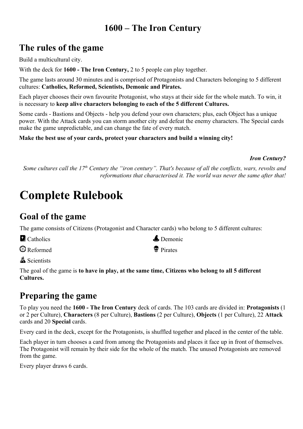## **1600 – The Iron Century**

### **The rules of the game**

Build a multicultural city.

With the deck for **1600 - The Iron Century,** 2 to 5 people can play together.

The game lasts around 30 minutes and is comprised of Protagonists and Characters belonging to 5 different cultures: **Catholics, Reformed, Scientists, Demonic and Pirates.**

Each player chooses their own favourite Protagonist, who stays at their side for the whole match. To win, it is necessary to **keep alive characters belonging to each of the 5 different Cultures.**

Some cards - Bastions and Objects - help you defend your own characters; plus, each Object has a unique power. With the Attack cards you can storm another city and defeat the enemy characters. The Special cards make the game unpredictable, and can change the fate of every match.

#### **Make the best use of your cards, protect your characters and build a winning city!**

#### *Iron Century?*

*Some cultures call the 17th Century the "iron century". That's because of all the conflicts, wars, revolts and reformations that characterised it. The world was never the same after that!*

# **Complete Rulebook**

### **Goal of the game**

The game consists of Citizens (Protagonist and Character cards) who belong to 5 different cultures:

| <b>C</b> atholics | $\triangle$ Demonic  |
|-------------------|----------------------|
| <b>B</b> Reformed | <sup>®</sup> Pirates |

**A** Scientists

The goal of the game is **to have in play, at the same time, Citizens who belong to all 5 different Cultures.**

### **Preparing the game**

To play you need the **1600 - The Iron Century** deck of cards. The 103 cards are divided in: **Protagonists** (1 or 2 per Culture), **Characters** (8 per Culture), **Bastions** (2 per Culture), **Objects** (1 per Culture), 22 **Attack** cards and 20 **Special** cards.

Every card in the deck, except for the Protagonists, is shuffled together and placed in the center of the table.

Each player in turn chooses a card from among the Protagonists and places it face up in front of themselves. The Protagonist will remain by their side for the whole of the match. The unused Protagonists are removed from the game.

Every player draws 6 cards.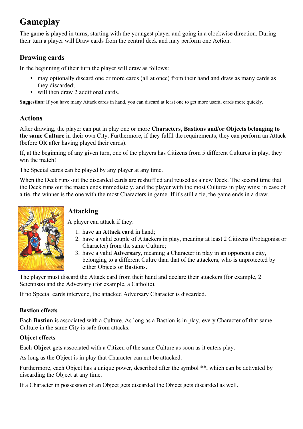# **Gameplay**

The game is played in turns, starting with the youngest player and going in a clockwise direction. During their turn a player will Draw cards from the central deck and may perform one Action.

### **Drawing cards**

In the beginning of their turn the player will draw as follows:

- may optionally discard one or more cards (all at once) from their hand and draw as many cards as they discarded;
- will then draw 2 additional cards.

**Suggestion:** If you have many Attack cards in hand, you can discard at least one to get more useful cards more quickly.

### **Actions**

After drawing, the player can put in play one or more **Characters, Bastions and/or Objects belonging to the same Culture** in their own City. Furthermore, if they fulfil the requirements, they can perform an Attack (before OR after having played their cards).

If, at the beginning of any given turn, one of the players has Citizens from 5 different Cultures in play, they win the match!

The Special cards can be played by any player at any time.

When the Deck runs out the discarded cards are reshuffled and reused as a new Deck. The second time that the Deck runs out the match ends immediately, and the player with the most Cultures in play wins; in case of a tie, the winner is the one with the most Characters in game. If it's still a tie, the game ends in a draw.



### **Attacking**

A player can attack if they:

- 1. have an **Attack card** in hand;
- 2. have a valid couple of Attackers in play, meaning at least 2 Citizens (Protagonist or Character) from the same Culture;
- 3. have a valid **Adversary**, meaning a Character in play in an opponent's city, belonging to a different Cultre than that of the attackers, who is unprotected by either Objects or Bastions.

The player must discard the Attack card from their hand and declare their attackers (for example, 2 Scientists) and the Adversary (for example, a Catholic).

If no Special cards intervene, the attacked Adversary Character is discarded.

#### **Bastion effects**

Each **Bastion** is associated with a Culture. As long as a Bastion is in play, every Character of that same Culture in the same City is safe from attacks.

#### **Object effects**

Each **Object** gets associated with a Citizen of the same Culture as soon as it enters play.

As long as the Object is in play that Character can not be attacked.

Furthermore, each Object has a unique power, described after the symbol \*\*, which can be activated by discarding the Object at any time.

If a Character in possession of an Object gets discarded the Object gets discarded as well.